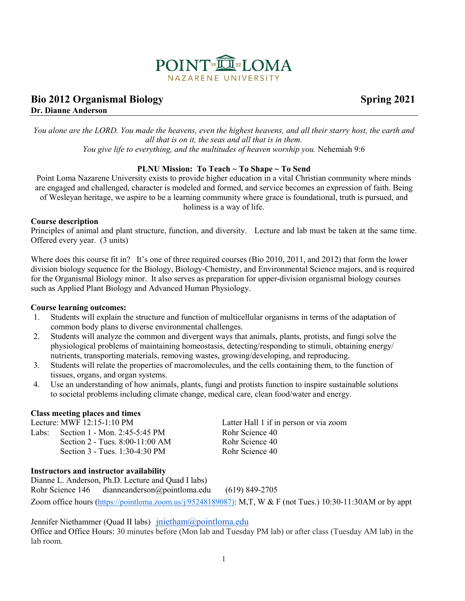

# **Bio** 2012 Organismal Biology Spring 2021 **Dr. Dianne Anderson**

*You alone are the LORD. You made the heavens, even the highest heavens, and all their starry host, the earth and all that is on it, the seas and all that is in them. You give life to everything, and the multitudes of heaven worship you.* Nehemiah 9:6

# **PLNU Mission: To Teach ~ To Shape ~ To Send**

Point Loma Nazarene University exists to provide higher education in a vital Christian community where minds are engaged and challenged, character is modeled and formed, and service becomes an expression of faith. Being of Wesleyan heritage, we aspire to be a learning community where grace is foundational, truth is pursued, and holiness is a way of life.

# **Course description**

Principles of animal and plant structure, function, and diversity. Lecture and lab must be taken at the same time. Offered every year. (3 units)

Where does this course fit in? It's one of three required courses (Bio 2010, 2011, and 2012) that form the lower division biology sequence for the Biology, Biology-Chemistry, and Environmental Science majors, and is required for the Organismal Biology minor. It also serves as preparation for upper-division organismal biology courses such as Applied Plant Biology and Advanced Human Physiology.

### **Course learning outcomes:**

- 1. Students will explain the structure and function of multicellular organisms in terms of the adaptation of common body plans to diverse environmental challenges.
- 2. Students will analyze the common and divergent ways that animals, plants, protists, and fungi solve the physiological problems of maintaining homeostasis, detecting/responding to stimuli, obtaining energy/ nutrients, transporting materials, removing wastes, growing/developing, and reproducing.
- 3. Students will relate the properties of macromolecules, and the cells containing them, to the function of tissues, organs, and organ systems.
- 4. Use an understanding of how animals, plants, fungi and protists function to inspire sustainable solutions to societal problems including climate change, medical care, clean food/water and energy.

# **Class meeting places and times**

| Lecture: MWF $12:15-1:10$ PM        | Latter Hall 1 if in person or via zoom |
|-------------------------------------|----------------------------------------|
| Labs: Section 1 - Mon. 2:45-5:45 PM | Rohr Science 40                        |
| Section 2 - Tues. 8:00-11:00 AM     | Rohr Science 40                        |
| Section 3 - Tues. 1:30-4:30 PM      | Rohr Science 40                        |

### **Instructors and instructor availability**

Dianne L. Anderson, Ph.D. Lecture and Quad I labs) Rohr Science 146 dianneanderson@pointloma.edu (619) 849-2705 Zoom office hours [\(https://pointloma.zoom.us/j/95248189087\)](https://pointloma.zoom.us/j/95248189087): M,T, W & F (not Tues.) 10:30-11:30AM or by appt

Jennifer Niethammer (Quad II labs) [jnietham@pointloma.edu](mailto:jnietham@pointloma.edu)

Office and Office Hours: 30 minutes before (Mon lab and Tuesday PM lab) or after class (Tuesday AM lab) in the lab room.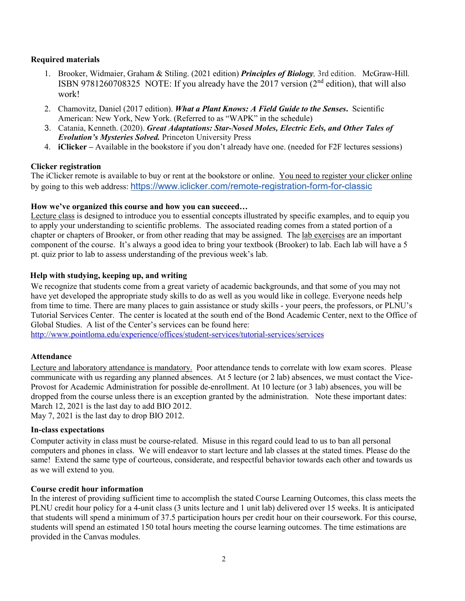### **Required materials**

- 1. Brooker, Widmaier, Graham & Stiling. (2021 edition) *Principles of Biology,* 3rd edition. McGraw-Hill*.* ISBN 9781260708325 NOTE: If you already have the 2017 version  $(2<sup>nd</sup>$  edition), that will also work!
- 2. Chamovitz, Daniel (2017 edition). *What a Plant Knows: A Field Guide to the Senses***.** Scientific American: New York, New York. (Referred to as "WAPK" in the schedule)
- 3. Catania, Kenneth. (2020). *Great Adaptations: Star-Nosed Moles, Electric Eels, and Other Tales of Evolution's Mysteries Solved.* Princeton University Press
- 4. **iClicker –** Available in the bookstore if you don't already have one. (needed for F2F lectures sessions)

# **Clicker registration**

The iClicker remote is available to buy or rent at the bookstore or online. You need to register your clicker online by going to this web address: <https://www.iclicker.com/remote-registration-form-for-classic>

## **How we've organized this course and how you can succeed…**

Lecture class is designed to introduce you to essential concepts illustrated by specific examples, and to equip you to apply your understanding to scientific problems. The associated reading comes from a stated portion of a chapter or chapters of Brooker, or from other reading that may be assigned. The lab exercises are an important component of the course. It's always a good idea to bring your textbook (Brooker) to lab. Each lab will have a 5 pt. quiz prior to lab to assess understanding of the previous week's lab.

### **Help with studying, keeping up, and writing**

We recognize that students come from a great variety of academic backgrounds, and that some of you may not have yet developed the appropriate study skills to do as well as you would like in college. Everyone needs help from time to time. There are many places to gain assistance or study skills - your peers, the professors, or PLNU's Tutorial Services Center. The center is located at the south end of the Bond Academic Center, next to the Office of Global Studies. A list of the Center's services can be found here:

<http://www.pointloma.edu/experience/offices/student-services/tutorial-services/services>

# **Attendance**

Lecture and laboratory attendance is mandatory. Poor attendance tends to correlate with low exam scores. Please communicate with us regarding any planned absences. At 5 lecture (or 2 lab) absences, we must contact the Vice-Provost for Academic Administration for possible de-enrollment. At 10 lecture (or 3 lab) absences, you will be dropped from the course unless there is an exception granted by the administration. Note these important dates: March 12, 2021 is the last day to add BIO 2012.

May 7, 2021 is the last day to drop BIO 2012.

### **In-class expectations**

Computer activity in class must be course-related. Misuse in this regard could lead to us to ban all personal computers and phones in class. We will endeavor to start lecture and lab classes at the stated times. Please do the same! Extend the same type of courteous, considerate, and respectful behavior towards each other and towards us as we will extend to you.

### **Course credit hour information**

In the interest of providing sufficient time to accomplish the stated Course Learning Outcomes, this class meets the PLNU credit hour policy for a 4-unit class (3 units lecture and 1 unit lab) delivered over 15 weeks. It is anticipated that students will spend a minimum of 37.5 participation hours per credit hour on their coursework. For this course, students will spend an estimated 150 total hours meeting the course learning outcomes. The time estimations are provided in the Canvas modules.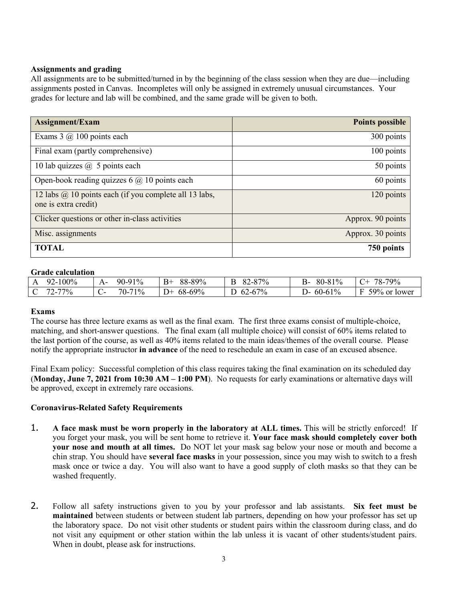## **Assignments and grading**

All assignments are to be submitted/turned in by the beginning of the class session when they are due—including assignments posted in Canvas. Incompletes will only be assigned in extremely unusual circumstances. Your grades for lecture and lab will be combined, and the same grade will be given to both.

| Assignment/Exam                                                                | <b>Points possible</b> |
|--------------------------------------------------------------------------------|------------------------|
| Exams 3 $\omega$ 100 points each                                               | 300 points             |
| Final exam (partly comprehensive)                                              | 100 points             |
| 10 lab quizzes $\omega$ 5 points each                                          | 50 points              |
| Open-book reading quizzes $6 \omega$ 10 points each                            | 60 points              |
| 12 labs @ 10 points each (if you complete all 13 labs,<br>one is extra credit) | 120 points             |
| Clicker questions or other in-class activities                                 | Approx. 90 points      |
| Misc. assignments                                                              | Approx. 30 points      |
| <b>TOTAL</b>                                                                   | 750 points             |

### **Grade calculation**

| 100%<br>$92 - 1$ | A- | 90-91%       | 88-89%<br>B+ | 87%<br>Qኅ<br>$-0.1$<br>٥Ž       | 80-81%<br>ь.  | 79%<br>78-         |
|------------------|----|--------------|--------------|---------------------------------|---------------|--------------------|
| $77\%$           |    | 71%<br>$70-$ | 68-69%<br>D+ | $57\%$<br>$62^{\circ}$<br>$-61$ | 60-61%<br>.J- | 59% or lower<br>-⊫ |

### **Exams**

The course has three lecture exams as well as the final exam. The first three exams consist of multiple-choice, matching, and short-answer questions. The final exam (all multiple choice) will consist of 60% items related to the last portion of the course, as well as 40% items related to the main ideas/themes of the overall course. Please notify the appropriate instructor **in advance** of the need to reschedule an exam in case of an excused absence.

Final Exam policy: Successful completion of this class requires taking the final examination on its scheduled day (**Monday, June 7, 2021 from 10:30 AM – 1:00 PM**). No requests for early examinations or alternative days will be approved, except in extremely rare occasions.

# **Coronavirus-Related Safety Requirements**

- 1. **A face mask must be worn properly in the laboratory at ALL times.** This will be strictly enforced! If you forget your mask, you will be sent home to retrieve it. **Your face mask should completely cover both your nose and mouth at all times.** Do NOT let your mask sag below your nose or mouth and become a chin strap. You should have **several face masks** in your possession, since you may wish to switch to a fresh mask once or twice a day. You will also want to have a good supply of cloth masks so that they can be washed frequently.
- 2. Follow all safety instructions given to you by your professor and lab assistants. **Six feet must be maintained** between students or between student lab partners, depending on how your professor has set up the laboratory space. Do not visit other students or student pairs within the classroom during class, and do not visit any equipment or other station within the lab unless it is vacant of other students/student pairs. When in doubt, please ask for instructions.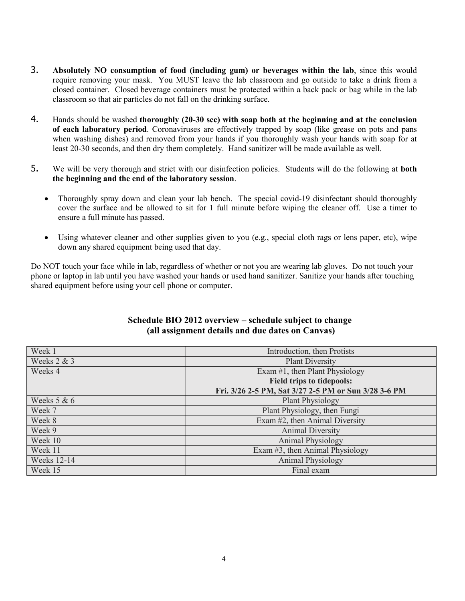- 3. **Absolutely NO consumption of food (including gum) or beverages within the lab**, since this would require removing your mask. You MUST leave the lab classroom and go outside to take a drink from a closed container. Closed beverage containers must be protected within a back pack or bag while in the lab classroom so that air particles do not fall on the drinking surface.
- 4. Hands should be washed **thoroughly (20-30 sec) with soap both at the beginning and at the conclusion of each laboratory period**. Coronaviruses are effectively trapped by soap (like grease on pots and pans when washing dishes) and removed from your hands if you thoroughly wash your hands with soap for at least 20-30 seconds, and then dry them completely. Hand sanitizer will be made available as well.
- 5. We will be very thorough and strict with our disinfection policies. Students will do the following at **both the beginning and the end of the laboratory session**.
	- Thoroughly spray down and clean your lab bench. The special covid-19 disinfectant should thoroughly cover the surface and be allowed to sit for 1 full minute before wiping the cleaner off. Use a timer to ensure a full minute has passed.
	- Using whatever cleaner and other supplies given to you (e.g., special cloth rags or lens paper, etc), wipe down any shared equipment being used that day.

Do NOT touch your face while in lab, regardless of whether or not you are wearing lab gloves. Do not touch your phone or laptop in lab until you have washed your hands or used hand sanitizer. Sanitize your hands after touching shared equipment before using your cell phone or computer.

| Schedule BIO 2012 overview – schedule subject to change |
|---------------------------------------------------------|
| (all assignment details and due dates on Canvas)        |

| Week 1             | Introduction, then Protists                          |
|--------------------|------------------------------------------------------|
| Weeks $2 & 3$      | <b>Plant Diversity</b>                               |
| Weeks 4            | Exam #1, then Plant Physiology                       |
|                    | <b>Field trips to tidepools:</b>                     |
|                    | Fri. 3/26 2-5 PM, Sat 3/27 2-5 PM or Sun 3/28 3-6 PM |
| Weeks $5 & 6$      | Plant Physiology                                     |
| Week 7             | Plant Physiology, then Fungi                         |
| Week 8             | Exam #2, then Animal Diversity                       |
| Week 9             | <b>Animal Diversity</b>                              |
| Week 10            | <b>Animal Physiology</b>                             |
| Week 11            | Exam #3, then Animal Physiology                      |
| <b>Weeks 12-14</b> | <b>Animal Physiology</b>                             |
| Week 15            | Final exam                                           |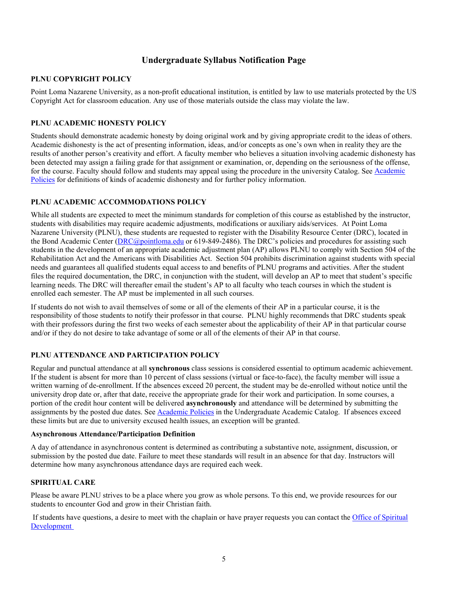### **Undergraduate Syllabus Notification Page**

#### **PLNU COPYRIGHT POLICY**

Point Loma Nazarene University, as a non-profit educational institution, is entitled by law to use materials protected by the US Copyright Act for classroom education. Any use of those materials outside the class may violate the law.

#### **PLNU ACADEMIC HONESTY POLICY**

Students should demonstrate academic honesty by doing original work and by giving appropriate credit to the ideas of others. Academic dishonesty is the act of presenting information, ideas, and/or concepts as one's own when in reality they are the results of another person's creativity and effort. A faculty member who believes a situation involving academic dishonesty has been detected may assign a failing grade for that assignment or examination, or, depending on the seriousness of the offense, for the course. Faculty should follow and students may appeal using the procedure in the university Catalog. See Academic [Policies](https://catalog.pointloma.edu/content.php?catoid=41&navoid=2435#Academic_Honesty) for definitions of kinds of academic dishonesty and for further policy information.

#### **PLNU ACADEMIC ACCOMMODATIONS POLICY**

While all students are expected to meet the minimum standards for completion of this course as established by the instructor, students with disabilities may require academic adjustments, modifications or auxiliary aids/services. At Point Loma Nazarene University (PLNU), these students are requested to register with the Disability Resource Center (DRC), located in the Bond Academic Center [\(DRC@pointloma.edu](mailto:DRC@pointloma.edu) or 619-849-2486). The DRC's policies and procedures for assisting such students in the development of an appropriate academic adjustment plan (AP) allows PLNU to comply with Section 504 of the Rehabilitation Act and the Americans with Disabilities Act. Section 504 prohibits discrimination against students with special needs and guarantees all qualified students equal access to and benefits of PLNU programs and activities. After the student files the required documentation, the DRC, in conjunction with the student, will develop an AP to meet that student's specific learning needs. The DRC will thereafter email the student's AP to all faculty who teach courses in which the student is enrolled each semester. The AP must be implemented in all such courses.

If students do not wish to avail themselves of some or all of the elements of their AP in a particular course, it is the responsibility of those students to notify their professor in that course. PLNU highly recommends that DRC students speak with their professors during the first two weeks of each semester about the applicability of their AP in that particular course and/or if they do not desire to take advantage of some or all of the elements of their AP in that course.

#### **PLNU ATTENDANCE AND PARTICIPATION POLICY**

Regular and punctual attendance at all **synchronous** class sessions is considered essential to optimum academic achievement. If the student is absent for more than 10 percent of class sessions (virtual or face-to-face), the faculty member will issue a written warning of de-enrollment. If the absences exceed 20 percent, the student may be de-enrolled without notice until the university drop date or, after that date, receive the appropriate grade for their work and participation. In some courses, a portion of the credit hour content will be delivered **asynchronously** and attendance will be determined by submitting the assignments by the posted due dates. See [Academic Policies](https://catalog.pointloma.edu/content.php?catoid=46&navoid=2650#Class_Attendance) in the Undergraduate Academic Catalog. If absences exceed these limits but are due to university excused health issues, an exception will be granted.

#### **Asynchronous Attendance/Participation Definition**

A day of attendance in asynchronous content is determined as contributing a substantive note, assignment, discussion, or submission by the posted due date. Failure to meet these standards will result in an absence for that day. Instructors will determine how many asynchronous attendance days are required each week.

#### **SPIRITUAL CARE**

Please be aware PLNU strives to be a place where you grow as whole persons. To this end, we provide resources for our students to encounter God and grow in their Christian faith.

If students have questions, a desire to meet with the chaplain or have prayer requests you can contact the Office of Spiritual [Development](https://www.pointloma.edu/offices/spiritual-development)